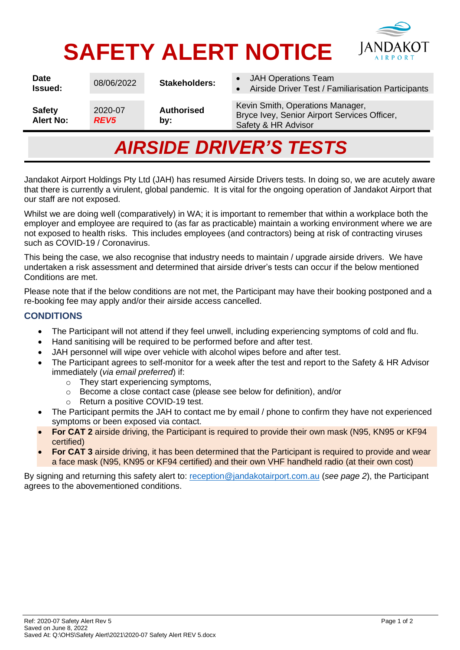

# **SAFETY ALERT NOTICE**

| Date<br><b>Issued:</b>            | 08/06/2022                  | Stakeholders:            | • JAH Operations Team<br>Airside Driver Test / Familiarisation Participants                             |
|-----------------------------------|-----------------------------|--------------------------|---------------------------------------------------------------------------------------------------------|
| <b>Safety</b><br><b>Alert No:</b> | 2020-07<br>REV <sub>5</sub> | <b>Authorised</b><br>by: | Kevin Smith, Operations Manager,<br>Bryce Ivey, Senior Airport Services Officer,<br>Safety & HR Advisor |

# *AIRSIDE DRIVER'S TESTS*

Jandakot Airport Holdings Pty Ltd (JAH) has resumed Airside Drivers tests. In doing so, we are acutely aware that there is currently a virulent, global pandemic. It is vital for the ongoing operation of Jandakot Airport that our staff are not exposed.

Whilst we are doing well (comparatively) in WA; it is important to remember that within a workplace both the employer and employee are required to (as far as practicable) maintain a working environment where we are not exposed to health risks. This includes employees (and contractors) being at risk of contracting viruses such as COVID-19 / Coronavirus.

This being the case, we also recognise that industry needs to maintain / upgrade airside drivers. We have undertaken a risk assessment and determined that airside driver's tests can occur if the below mentioned Conditions are met.

Please note that if the below conditions are not met, the Participant may have their booking postponed and a re-booking fee may apply and/or their airside access cancelled.

## **CONDITIONS**

- The Participant will not attend if they feel unwell, including experiencing symptoms of cold and flu.
- Hand sanitising will be required to be performed before and after test.
- JAH personnel will wipe over vehicle with alcohol wipes before and after test.
- The Participant agrees to self-monitor for a week after the test and report to the Safety & HR Advisor immediately (*via email preferred*) if:
	- o They start experiencing symptoms,
	- o Become a close contact case (please see below for definition), and/or
	- o Return a positive COVID-19 test.
- The Participant permits the JAH to contact me by email / phone to confirm they have not experienced symptoms or been exposed via contact.
- **For CAT 2** airside driving, the Participant is required to provide their own mask (N95, KN95 or KF94 certified)
- **For CAT 3** airside driving, it has been determined that the Participant is required to provide and wear a face mask (N95, KN95 or KF94 certified) and their own VHF handheld radio (at their own cost)

By signing and returning this safety alert to: [reception@jandakotairport.com.au](mailto:reception@jandakotairport.com.au) (*see page 2*), the Participant agrees to the abovementioned conditions.